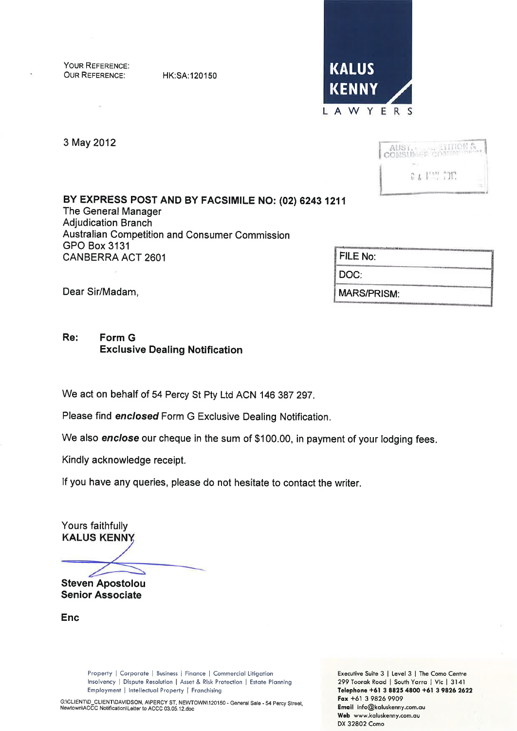YOUR REFERENCE: **OUR REFERENCE:** 

HK:SA:120150



3 May 2012



BY EXPRESS POST AND BY FACSIMILE NO: (02) 6243 1211 The General Manager **Adjudication Branch** Australian Competition and Consumer Commission **GPO Box 3131 CANBERRA ACT 2601** 

| FILE No:           |  |
|--------------------|--|
| DOC:               |  |
| <b>MARS/PRISM:</b> |  |

Dear Sir/Madam,

#### Re: Form G **Exclusive Dealing Notification**

We act on behalf of 54 Percy St Pty Ltd ACN 146 387 297.

Please find enclosed Form G Exclusive Dealing Notification.

We also enclose our cheque in the sum of \$100.00, in payment of your lodging fees.

Kindly acknowledge receipt.

If you have any queries, please do not hesitate to contact the writer.

Yours faithfully **KALUS KENNY** 

**Steven Apostolou** 

**Senior Associate** 

Enc

Property | Corporate | Business | Finance | Commercial Litigation Insolvency | Dispute Resolution | Asset & Risk Protection | Estate Planning Employment | Intellectual Property | Franchising

Executive Suite 3 | Level 3 | The Como Centre 299 Toorak Road | South Yarra | Vic | 3141 Telephone +61 3 8825 4800 +61 3 9826 2622 Fax +61 3 9826 9909 Email info@kaluskenny.com.au Web www.kaluskenny.com.au DX 32802 Como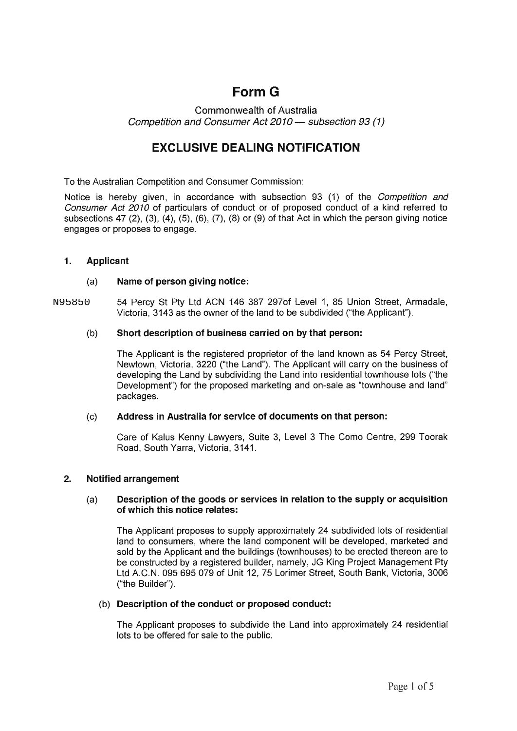# Form G

**Commonwealth of Australia** Competition and Consumer Act 2010 - subsection 93 (1)

## EXCLUSIVE DEALING NOTIFICATION

To the Australian Competition and Consumer Commission:

Notice is hereby given, in accordance with subsection 93 (1) of the Competition and Consumer Act 2010 of particulars of conduct or of proposed conduct of a kind referred to subsections 47 (2), (3), (4), (5), (6), (7), (8) or (9) of that Act in which the person giving notice engages or proposes to engage.

## 1. Applicant

### (a) Name of person giving notice:

54 Percy St Pty Ltd ACN 146 387 297of Level 1, 85 Union Street, Armadale, Victoria, 3143 as the owner of the land to be subdivided ("the Applicant"). N95850

### (b) Short description of business carried on by that person:

The Applicant is the registered proprietor of the land known as 54 Percy Street, Newtown, Victoria, 3220 ("the Land"). The Applicant will carry on the business of developing the Land by subdividing the Land into residential townhouse lots ("the Development") for the proposed marketing and on-sale as "townhouse and land" packages.

#### (c) Address in Australia for service of documents on that person:

Care of Kalus Kenny Lawyers, Suite 3, Level 3 The Como Centre, 299 Toorak Road, South Yarra, Victoria, 3141.

## 2. Notified arrangement

#### (a) Description of the goods or services in relation to the supply or acquisition of which this notice relates:

The Applicant proposes to supply approximately 24 subdivided lots of residential land to consumers, where the land component will be developed, marketed and sold by the Applicant and the buildings (townhouses) to be erected thereon are to be constructed by a registered builder, namely, JG King Project Management Pty Ltd A.C.N. 095 695 079 of Unit 12, 75 Lorimer Street, South Bank, Victoria, 3006 ("the Builder").

#### (b) Description of the conduct or proposed conduct:

The Applicant proposes to subdivide the Land into approximately 24 residential lots to be offered for sale to the public.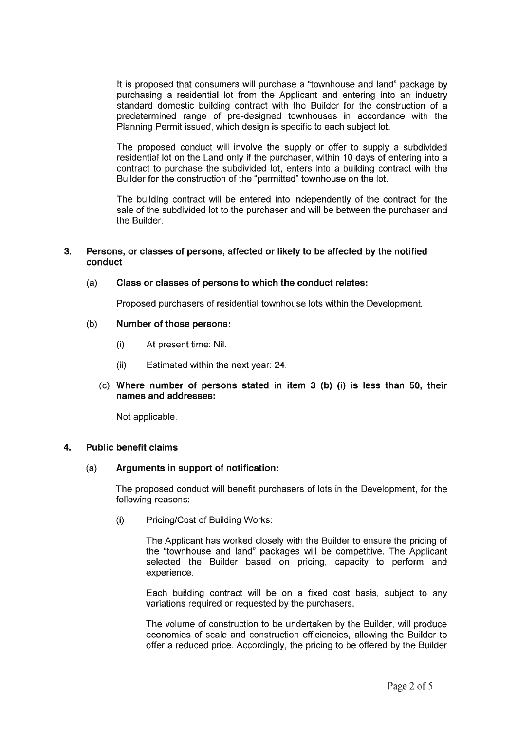It is proposed that consumers will purchase a "townhouse and land" package by purchasing a residential lot from the Applicant and entering into an industry standard domestic building contract with the Builder for the construction of a predetermined range of pre-designed townhouses in accordance with the Planning Permit issued, which design is specific to each subject lot.

The proposed conduct will involve the supply or offer to supply a subdivided residential lot on the Land only if the purchaser, within 10 days of entering into a contract to purchase the subdivided lot, enters into a building contract with the Builder for the construction of the "permitted" townhouse on the lot.

The building contract will be entered into independently of the contract for the sale of the subdivided lot to the purchaser and will be between the purchaser and the Builder.

### 3. Persons, or classes of persons, affected or likely to be affected by the notified conduct

#### (a) Class or classes of persons to which the conduct relates:

Proposed purchasers of residential townhouse lots within the Development.

#### (b) Number of those persons:

- (i) At present time: Nil.
- (ii) Estimated within the next year:24.
- (c) Where number of persons stated in item  $3$  (b) (i) is less than  $50$ , their names and addresses:

Not applicable.

### 4. Public benefit claims

#### Arguments in support of notification: (a)

The proposed conduct will benefit purchasers of lots in the Development, for the following reasons:

(i) Pricing/Cost of Building Works:

The Applicant has worked closely with the Builder to ensure the pricing of the "townhouse and land" packages will be competitive. The Applicant selected the Builder based on pricing, capacity to perform and experience.

Each building contract will be on a fixed cost basis, subject to any variations required or requested by the purchasers.

The volume of construction to be undertaken by the Builder, will produce economies of scale and construction efficiencies, allowing the Builder to offer a reduced price. Accordingly, the pricing to be offered by the Builder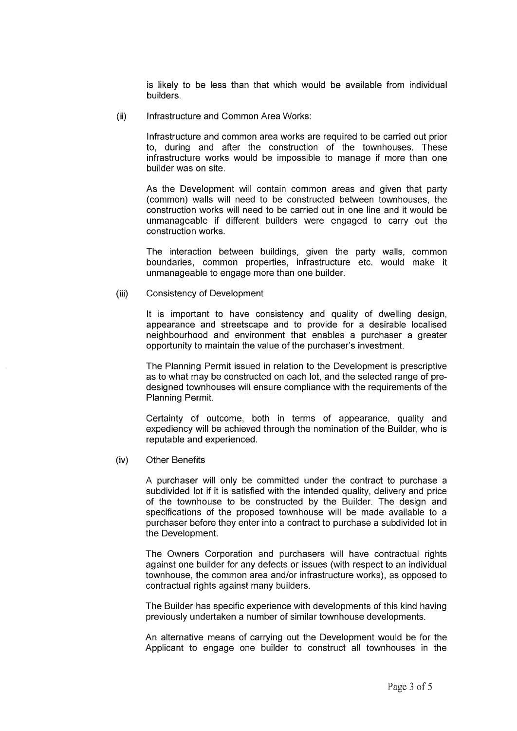is likely to be less than that which would be available from individual builders.

(i) lnfrastructure and Common Area Works:

> lnfrastructure and common area works are required to be carried out prior to, during and after the construction of the townhouses. These infrastructure works would be impossible to manage if more than one builder was on site.

> As the Development will contain common areas and given that party (common) walls will need to be constructed between townhouses, the construction works will need to be carried out in one line and it would be unmanageable if different builders were engaged to carry out the construction works.

> The interaction between buildings, given the party walls, common boundaries, common properties, infrastructure etc. would make it unmanageable to engage more than one builder.

Consistency of Development  $(iii)$ 

> It is important to have consistency and quality of dwelling design, appearance and streetscape and to provide for a desirable localised neighbourhood and environment that enables a purchaser a greater opportunity to maintain the value of the purchaser's investment.

> The Planning Permit issued in relation to the Development is prescriptive as to what may be constructed on each lot, and the selected range of predesigned townhouses will ensure compliance with the requirements of the Planning Permit.

> Certainty of outcome, both in terms of appearance, quality and expediency will be achieved through the nomination of the Builder, who is reputable and experienced.

Other Benefits (iv)

> A purchaser will only be committed under the contract to purchase <sup>a</sup> subdivided lot if it is satisfied with the intended quality, delivery and price of the townhouse to be constructed by the Builder. The design and specifications of the proposed townhouse will be made available to a purchaser before they enter into a contract to purchase a subdivided lot in the Development.

> The Owners Corporation and purchasers will have contractual rights against one builder for any defects or issues (with respect to an individual townhouse, the common area and/or infrastructure works), as opposed to contractual rights against many builders.

> The Builder has specific experience with developments of this kind having previously undertaken a number of similar townhouse developments.

> An alternative means of carrying out the Development would be for the Applicant to engage one builder to construct all townhouses in the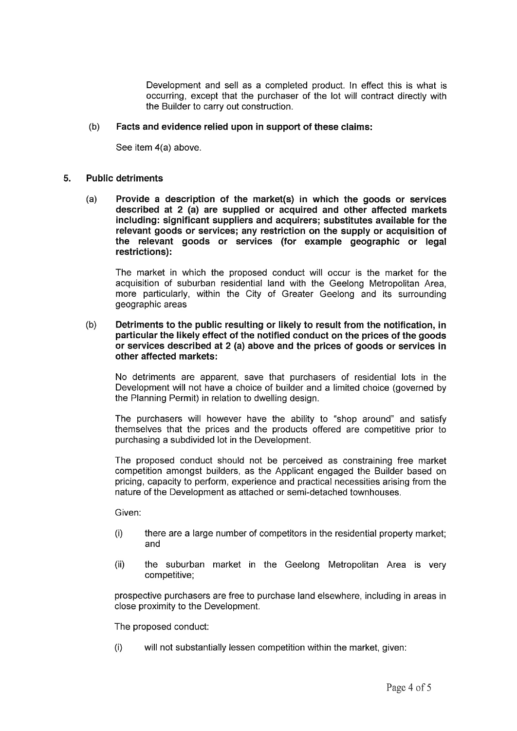Development and sell as a completed product. ln effect this is what is occurring, except that the purchaser of the lot will contract directly with the Builder to carry out construction.

#### (b) Facts and evidence relied upon in support of these claims:

See item 4(a) above.

#### Public detriments 5.

(a) Provide a description of the market(s) in which the goods or services described at 2 (a) are supplied or acquired and other affected markets including: significant suppliers and acquirers; substitutes available for the relevant goods or services; any restriction on the supply or acquisition of the relevant goods or services (for example geographic or legal restrictions):

The market in which the proposed conduct will occur is the market for the acquisition of suburban residential land with the Geelong Metropolitan Area, more particularly, within the City of Greater Geelong and its surrounding geographic areas

#### (b) Detriments to the public resulting or likely to result from the notification, in particular the likely effect of the notified conduct on the prices of the goods or services described at 2 (a) above and the prices of goods or services in other affected markets:

No detriments are apparent, save that purchasers of residential lots in the Development will not have a choice of builder and a limited choice (governed by the Planning Permit) in relation to dwelling design.

The purchasers will however have the ability to "shop around" and satisfy themselves that the prices and the products offered are competitive prior to purchasing a subdivided lot in the Development.

The proposed conduct should not be perceived as constraining free market competition amongst builders, as the Applicant engaged the Builder based on pricing, capacity to perform, experience and practical necessities arising from the nature of the Development as attached or semi-detached townhouses.

Given:

- (i) there are a large number of competitors in the residential property market; and
- (ii) the suburban market in the Geelong Metropolitan Area is very competitive;

prospective purchasers are free to purchase land elsewhere, including in areas in close proximity to the Development.

The proposed conduct:

(i) will not substantially lessen competition within the market, given: